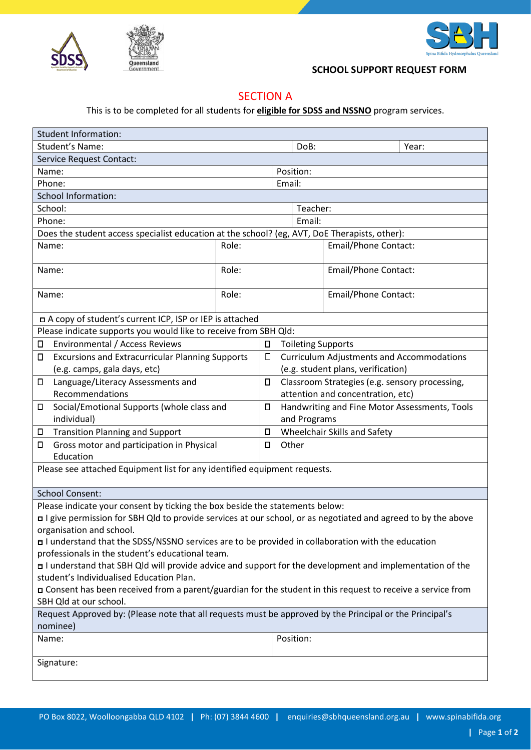



## **SCHOOL SUPPORT REQUEST FORM**

## SECTION A

This is to be completed for all students for **eligible for SDSS and NSSNO** program services.

| <b>Student Information:</b>                                                                                                        |       |                                                                    |                      |                             |       |  |
|------------------------------------------------------------------------------------------------------------------------------------|-------|--------------------------------------------------------------------|----------------------|-----------------------------|-------|--|
| Student's Name:                                                                                                                    |       |                                                                    | DoB:                 |                             | Year: |  |
| <b>Service Request Contact:</b>                                                                                                    |       |                                                                    |                      |                             |       |  |
| Name:<br>Position:                                                                                                                 |       |                                                                    |                      |                             |       |  |
| Phone:                                                                                                                             |       |                                                                    | Email:               |                             |       |  |
| <b>School Information:</b>                                                                                                         |       |                                                                    |                      |                             |       |  |
| School:                                                                                                                            |       |                                                                    | Teacher:             |                             |       |  |
| Phone:                                                                                                                             |       | Email:                                                             |                      |                             |       |  |
| Does the student access specialist education at the school? (eg, AVT, DoE Therapists, other):                                      |       |                                                                    |                      |                             |       |  |
| Name:                                                                                                                              | Role: |                                                                    | Email/Phone Contact: |                             |       |  |
| Name:                                                                                                                              | Role: |                                                                    |                      | <b>Email/Phone Contact:</b> |       |  |
| Name:                                                                                                                              | Role: |                                                                    |                      | <b>Email/Phone Contact:</b> |       |  |
| n A copy of student's current ICP, ISP or IEP is attached                                                                          |       |                                                                    |                      |                             |       |  |
| Please indicate supports you would like to receive from SBH Qld:                                                                   |       |                                                                    |                      |                             |       |  |
| <b>Environmental / Access Reviews</b><br>Д                                                                                         |       | Д<br><b>Toileting Supports</b>                                     |                      |                             |       |  |
| <b>Excursions and Extracurricular Planning Supports</b><br>П                                                                       |       | П<br><b>Curriculum Adjustments and Accommodations</b>              |                      |                             |       |  |
| (e.g. camps, gala days, etc)                                                                                                       |       | (e.g. student plans, verification)                                 |                      |                             |       |  |
| Language/Literacy Assessments and<br>$\Box$                                                                                        |       | Classroom Strategies (e.g. sensory processing,<br>П                |                      |                             |       |  |
| Recommendations                                                                                                                    |       | attention and concentration, etc)                                  |                      |                             |       |  |
| Social/Emotional Supports (whole class and<br>П<br>individual)                                                                     |       | О<br>Handwriting and Fine Motor Assessments, Tools<br>and Programs |                      |                             |       |  |
| <b>Transition Planning and Support</b><br>Д                                                                                        |       | Wheelchair Skills and Safety<br>$\Box$                             |                      |                             |       |  |
| Gross motor and participation in Physical<br>Д<br>Education                                                                        |       | Other<br>О                                                         |                      |                             |       |  |
| Please see attached Equipment list for any identified equipment requests.                                                          |       |                                                                    |                      |                             |       |  |
| <b>School Consent:</b>                                                                                                             |       |                                                                    |                      |                             |       |  |
| Please indicate your consent by ticking the box beside the statements below:                                                       |       |                                                                    |                      |                             |       |  |
| □ I give permission for SBH Qld to provide services at our school, or as negotiated and agreed to by the above                     |       |                                                                    |                      |                             |       |  |
| organisation and school.                                                                                                           |       |                                                                    |                      |                             |       |  |
| I understand that the SDSS/NSSNO services are to be provided in collaboration with the education                                   |       |                                                                    |                      |                             |       |  |
| professionals in the student's educational team.                                                                                   |       |                                                                    |                      |                             |       |  |
| I understand that SBH Qld will provide advice and support for the development and implementation of the                            |       |                                                                    |                      |                             |       |  |
| student's Individualised Education Plan.                                                                                           |       |                                                                    |                      |                             |       |  |
| □ Consent has been received from a parent/guardian for the student in this request to receive a service from                       |       |                                                                    |                      |                             |       |  |
| SBH Qld at our school.<br>Request Approved by: (Please note that all requests must be approved by the Principal or the Principal's |       |                                                                    |                      |                             |       |  |
| nominee)                                                                                                                           |       |                                                                    |                      |                             |       |  |
| Name:                                                                                                                              |       |                                                                    | Position:            |                             |       |  |
| Signature:                                                                                                                         |       |                                                                    |                      |                             |       |  |